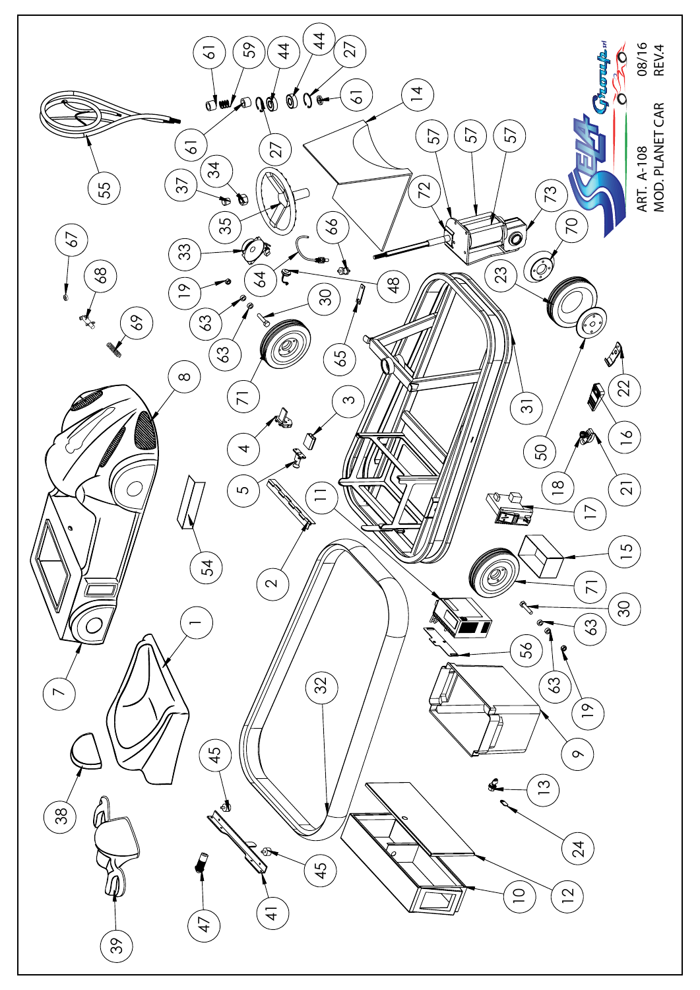